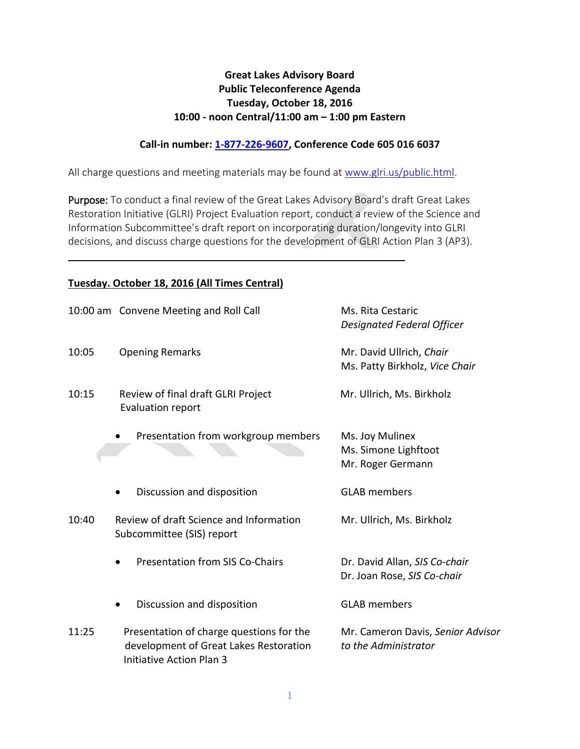## **Great Lakes Advisory Board Public Teleconference Agenda Tuesday, October 18, 2016 10:00 - noon Central/11:00 am – 1:00 pm Eastern**

## **Call-in number: [1-877-226-9607,](tel:1-877-226-9607) Conference Code 605 016 6037**

All charge questions and meeting materials may be found at [www.glri.us/public.html.](http://www.glri.us/public.html)

Purpose: To conduct a final review of the Great Lakes Advisory Board's draft Great Lakes Restoration Initiative (GLRI) Project Evaluation report, conduct a review of the Science and Information Subcommittee's draft report on incorporating duration/longevity into GLRI decisions, and discuss charge questions for the development of GLRI Action Plan 3 (AP3).

## **Tuesday. October 18, 2016 (All Times Central)**

|       | 10:00 am Convene Meeting and Roll Call                                                                                | Ms. Rita Cestaric<br><b>Designated Federal Officer</b>       |
|-------|-----------------------------------------------------------------------------------------------------------------------|--------------------------------------------------------------|
| 10:05 | <b>Opening Remarks</b>                                                                                                | Mr. David Ullrich, Chair<br>Ms. Patty Birkholz, Vice Chair   |
| 10:15 | Review of final draft GLRI Project<br>Evaluation report                                                               | Mr. Ullrich, Ms. Birkholz                                    |
|       | Presentation from workgroup members                                                                                   | Ms. Joy Mulinex<br>Ms. Simone Lighftoot<br>Mr. Roger Germann |
|       | Discussion and disposition                                                                                            | <b>GLAB</b> members                                          |
| 10:40 | Review of draft Science and Information<br>Subcommittee (SIS) report                                                  | Mr. Ullrich, Ms. Birkholz                                    |
|       | <b>Presentation from SIS Co-Chairs</b>                                                                                | Dr. David Allan, SIS Co-chair<br>Dr. Joan Rose, SIS Co-chair |
|       | Discussion and disposition                                                                                            | <b>GLAB</b> members                                          |
| 11:25 | Presentation of charge questions for the<br>development of Great Lakes Restoration<br><b>Initiative Action Plan 3</b> | Mr. Cameron Davis, Senior Advisor<br>to the Administrator    |